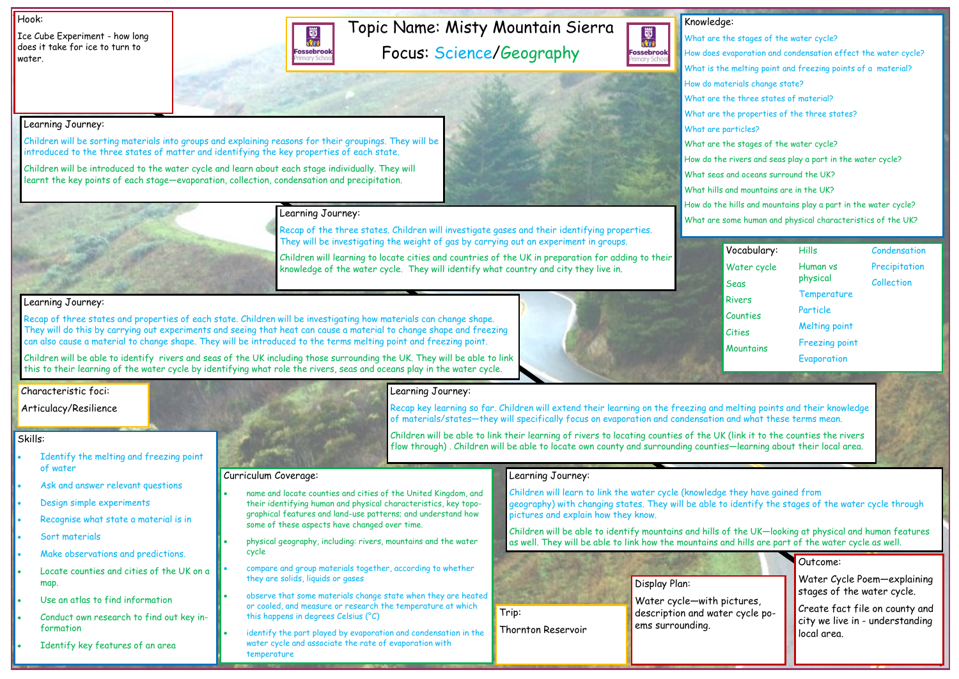## Topic Name: Misty Mountain Sierra Focus: Science/Geography

國流 **Fossebrook** 



#### Hook:

Ice Cube Experiment - how long does it take for ice to turn to water.

### Outcome:

Water Cycle Poem—explaining stages of the water cycle.

Create fact file on county and city we live in - understanding local area.

### Knowledge: What are the stages of the water cycle? How does evaporation and condensation effect the water cycle? What is the melting point and freezing points of a material? How do materials change state? What are the three states of material? What are the properties of the three states? What are particles? What are the stages of the water cycle? How do the rivers and seas play a part in the water cycle? What seas and oceans surround the UK? What hills and mountains are in the UK? How do the hills and mountains play a part in the water cycle?

What are some human and physical characteristics of the UK?

#### Skills:

- Identify the melting and freezing point of water
- Ask and answer relevant questions
- Design simple experiments
- Recognise what state a material is in
- Sort materials
- Make observations and predictions.
- Locate counties and cities of the UK on a map.
- Use an atlas to find information
- Conduct own research to find out key information
- Identify key features of an area

Learning Journey:



Children will be sorting materials into groups and explaining reasons for their groupings. They will be

introduced to the three states of matter and identifying the key properties of each state.

Children will be introduced to the water cycle and learn about each stage individually. They will learnt the key points of each stage—evaporation, collection, condensation and precipitation.

### Learning Journey:

Recap of the three states. Children will investigate gases and their identifying properties. They will be investigating the weight of gas by carrying out an experiment in groups.

Children will learning to locate cities and countries of the UK in preparation for adding to their knowledge of the water cycle. They will identify what country and city they live in.

### Learning Journey:

Recap of three states and properties of each state. Children will be investigating how materials can change shape. They will do this by carrying out experiments and seeing that heat can cause a material to change shape and freezing can also cause a material to change shape. They will be introduced to the terms melting point and freezing point.

Children will be able to identify rivers and seas of the UK including those surrounding the UK. They will be able to link this to their learning of the water cycle by identifying what role the rivers, seas and oceans play in the water cycle.





Recap key learning so far. Children will extend their learning on the freezing and melting points and their knowledge of materials/states—they will specifically focus on evaporation and condensation and what these terms mean.

Children will be able to link their learning of rivers to locating counties of the UK (link it to the counties the rivers flow through) . Children will be able to locate own county and surrounding counties—learning about their local area.

## Learning Journey:

Children will learn to link the water cycle (knowledge they have gained from geography) with changing states. They will be able to identify the stages of the water cycle through pictures and explain how they know.

Children will be able to identify mountains and hills of the UK—looking at physical and human features as well. They will be able to link how the mountains and hills are part of the water cycle as well.

### Curriculum Coverage:

- name and locate counties and cities of the United Kingdom, and their identifying human and physical characteristics, key topographical features and land-use patterns; and understand how some of these aspects have changed over time.
- physical geography, including: rivers, mountains and the water cycle
- compare and group materials together, according to whether they are solids, liquids or gases
- observe that some materials change state when they are heated or cooled, and measure or research the temperature at which this happens in degrees Celsius (°C)
- identify the part played by evaporation and condensation in the water cycle and associate the rate of evaporation with temperature

| Vocabulary:   | Hills                 | Condensation  |
|---------------|-----------------------|---------------|
| Water cycle   | Human vs<br>physical  | Precipitation |
| Seas          |                       | Collection    |
| <b>Rivers</b> | Temperature           |               |
| Counties      | Particle              |               |
| Cities        | <b>Melting point</b>  |               |
| Mountains     | <b>Freezing point</b> |               |
|               | Evaporation           |               |

Display Plan:

Water cycle—with pictures, description and water cycle poems surrounding.

Trip:

Thornton Reservoir

### Characteristic foci:

Articulacy/Resilience